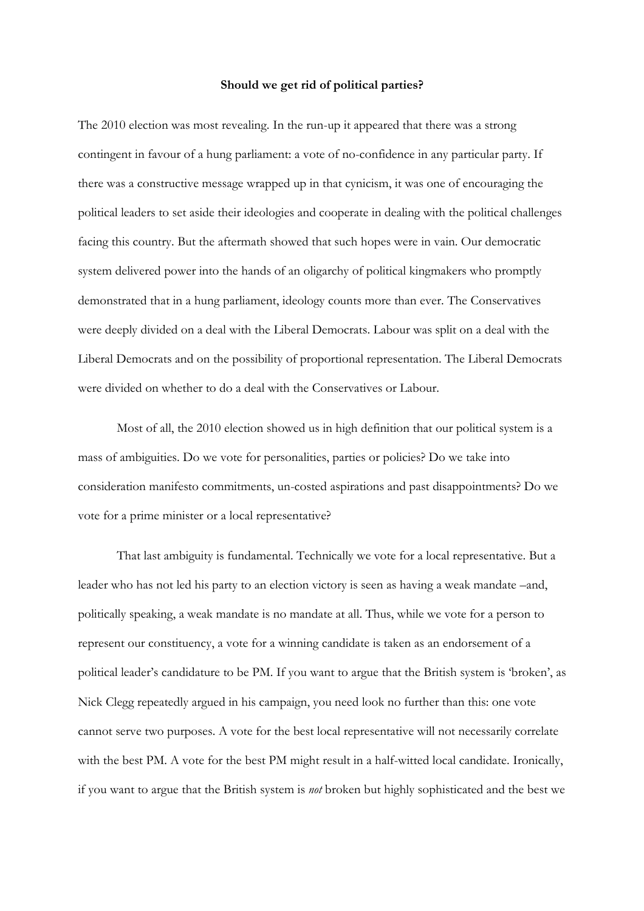## **Should we get rid of political parties?**

The 2010 election was most revealing. In the run-up it appeared that there was a strong contingent in favour of a hung parliament: a vote of no-confidence in any particular party. If there was a constructive message wrapped up in that cynicism, it was one of encouraging the political leaders to set aside their ideologies and cooperate in dealing with the political challenges facing this country. But the aftermath showed that such hopes were in vain. Our democratic system delivered power into the hands of an oligarchy of political kingmakers who promptly demonstrated that in a hung parliament, ideology counts more than ever. The Conservatives were deeply divided on a deal with the Liberal Democrats. Labour was split on a deal with the Liberal Democrats and on the possibility of proportional representation. The Liberal Democrats were divided on whether to do a deal with the Conservatives or Labour.

 Most of all, the 2010 election showed us in high definition that our political system is a mass of ambiguities. Do we vote for personalities, parties or policies? Do we take into consideration manifesto commitments, un-costed aspirations and past disappointments? Do we vote for a prime minister or a local representative?

 That last ambiguity is fundamental. Technically we vote for a local representative. But a leader who has not led his party to an election victory is seen as having a weak mandate –and, politically speaking, a weak mandate is no mandate at all. Thus, while we vote for a person to represent our constituency, a vote for a winning candidate is taken as an endorsement of a political leader's candidature to be PM. If you want to argue that the British system is 'broken', as Nick Clegg repeatedly argued in his campaign, you need look no further than this: one vote cannot serve two purposes. A vote for the best local representative will not necessarily correlate with the best PM. A vote for the best PM might result in a half-witted local candidate. Ironically, if you want to argue that the British system is *not* broken but highly sophisticated and the best we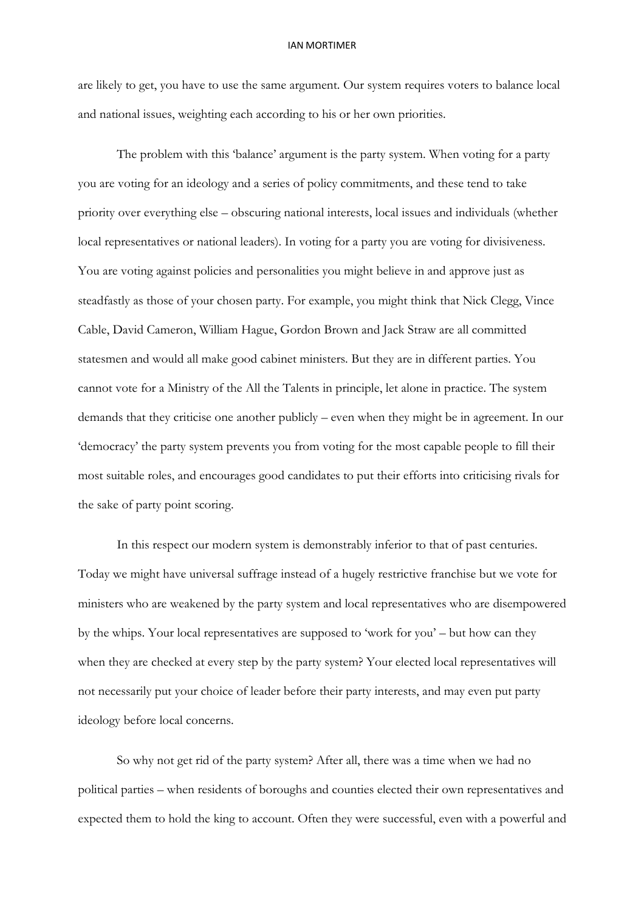## IAN MORTIMER

are likely to get, you have to use the same argument. Our system requires voters to balance local and national issues, weighting each according to his or her own priorities.

 The problem with this 'balance' argument is the party system. When voting for a party you are voting for an ideology and a series of policy commitments, and these tend to take priority over everything else – obscuring national interests, local issues and individuals (whether local representatives or national leaders). In voting for a party you are voting for divisiveness. You are voting against policies and personalities you might believe in and approve just as steadfastly as those of your chosen party. For example, you might think that Nick Clegg, Vince Cable, David Cameron, William Hague, Gordon Brown and Jack Straw are all committed statesmen and would all make good cabinet ministers. But they are in different parties. You cannot vote for a Ministry of the All the Talents in principle, let alone in practice. The system demands that they criticise one another publicly – even when they might be in agreement. In our 'democracy' the party system prevents you from voting for the most capable people to fill their most suitable roles, and encourages good candidates to put their efforts into criticising rivals for the sake of party point scoring.

In this respect our modern system is demonstrably inferior to that of past centuries. Today we might have universal suffrage instead of a hugely restrictive franchise but we vote for ministers who are weakened by the party system and local representatives who are disempowered by the whips. Your local representatives are supposed to 'work for you' – but how can they when they are checked at every step by the party system? Your elected local representatives will not necessarily put your choice of leader before their party interests, and may even put party ideology before local concerns.

So why not get rid of the party system? After all, there was a time when we had no political parties – when residents of boroughs and counties elected their own representatives and expected them to hold the king to account. Often they were successful, even with a powerful and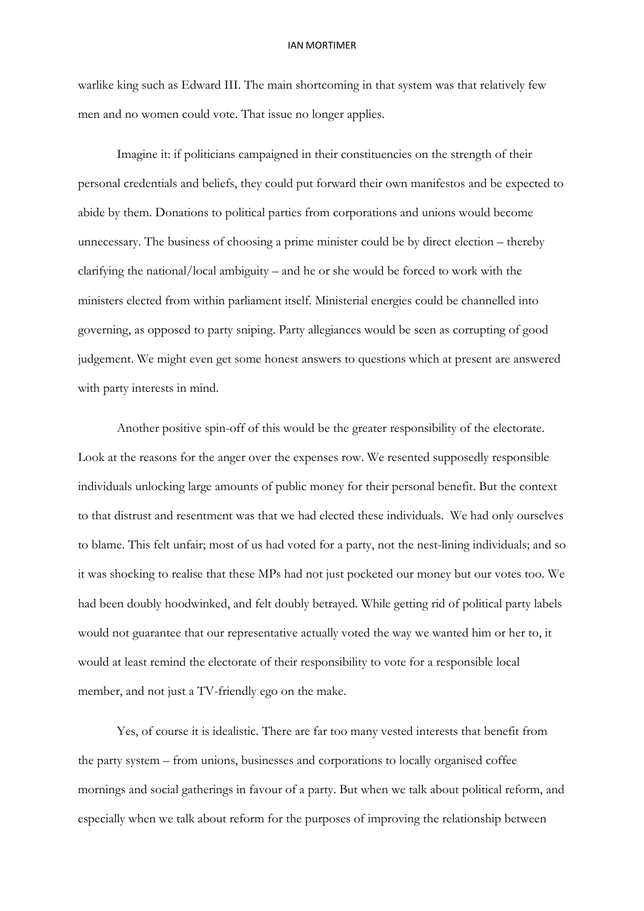## IAN MORTIMER

warlike king such as Edward III. The main shortcoming in that system was that relatively few men and no women could vote. That issue no longer applies.

Imagine it: if politicians campaigned in their constituencies on the strength of their personal credentials and beliefs, they could put forward their own manifestos and be expected to abide by them. Donations to political parties from corporations and unions would become unnecessary. The business of choosing a prime minister could be by direct election – thereby clarifying the national/local ambiguity – and he or she would be forced to work with the ministers elected from within parliament itself. Ministerial energies could be channelled into governing, as opposed to party sniping. Party allegiances would be seen as corrupting of good judgement. We might even get some honest answers to questions which at present are answered with party interests in mind.

Another positive spin-off of this would be the greater responsibility of the electorate. Look at the reasons for the anger over the expenses row. We resented supposedly responsible individuals unlocking large amounts of public money for their personal benefit. But the context to that distrust and resentment was that we had elected these individuals. We had only ourselves to blame. This felt unfair; most of us had voted for a party, not the nest-lining individuals; and so it was shocking to realise that these MPs had not just pocketed our money but our votes too. We had been doubly hoodwinked, and felt doubly betrayed. While getting rid of political party labels would not guarantee that our representative actually voted the way we wanted him or her to, it would at least remind the electorate of their responsibility to vote for a responsible local member, and not just a TV-friendly ego on the make.

Yes, of course it is idealistic. There are far too many vested interests that benefit from the party system – from unions, businesses and corporations to locally organised coffee mornings and social gatherings in favour of a party. But when we talk about political reform, and especially when we talk about reform for the purposes of improving the relationship between